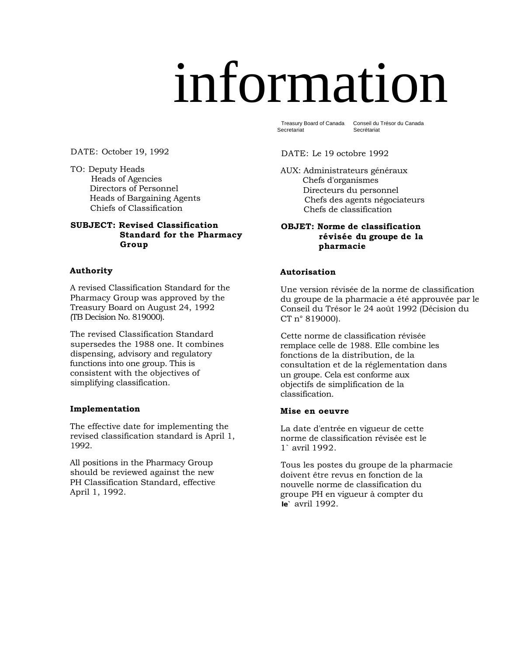# information

Treasury Board of Canada **Secretariat** 

Conseil du Trésor du Canada Secrétariat

DATE: October 19, 1992

TO: Deputy Heads Heads of Agencies Directors of Personnel Heads of Bargaining Agents Chiefs of Classification

# **SUBJECT: Revised Classification Standard for the Pharmacy Group**

# **Authority**

A revised Classification Standard for the Pharmacy Group was approved by the Treasury Board on August 24, 1992 (TB Decision No. 819000).

The revised Classification Standard supersedes the 1988 one. It combines dispensing, advisory and regulatory functions into one group. This is consistent with the objectives of simplifying classification.

# **Implementation**

The effective date for implementing the revised classification standard is April 1, 1992.

All positions in the Pharmacy Group should be reviewed against the new PH Classification Standard, effective April 1, 1992.

# DATE: Le 19 octobre 1992

AUX: Administrateurs généraux Chefs d'organismes Directeurs du personnel Chefs des agents négociateurs Chefs de classification

# **OBJET: Norme de classification révisée du groupe de la pharmacie**

# **Autorisation**

Une version révisée de la norme de classification du groupe de la pharmacie a été approuvée par le Conseil du Trésor le 24 août 1992 (Décision du CT n° 819000).

Cette norme de classification révisée remplace celle de 1988. Elle combine les fonctions de la distribution, de la consultation et de la réglementation dans un groupe. Cela est conforme aux objectifs de simplification de la classification.

# **Mise en oeuvre**

La date d'entrée en vigueur de cette norme de classification révisée est le 1` avril 1992.

 Tous les postes du groupe de la pharmacie doivent être revus en fonction de la nouvelle norme de classification du groupe PH en vigueur à compter du **le`** avril 1992.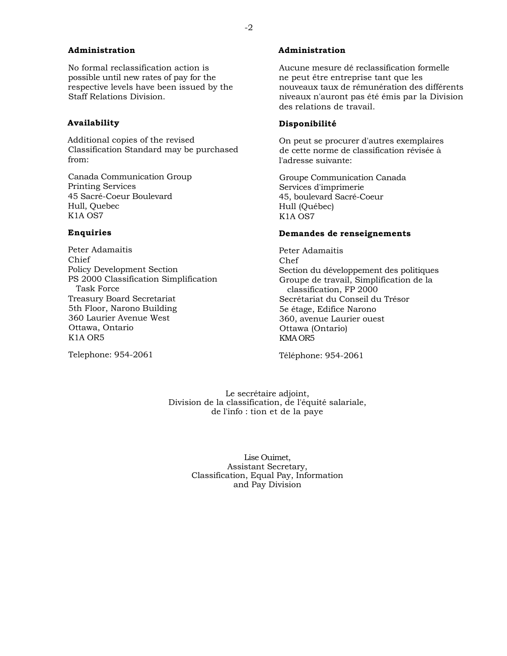# **Administration**

No formal reclassification action is possible until new rates of pay for the respective levels have been issued by the Staff Relations Division.

# **Availability**

Additional copies of the revised Classification Standard may be purchased from:

Canada Communication Group Printing Services 45 Sacré-Coeur Boulevard Hull, Quebec K1A OS7

# **Enquiries**

Peter Adamaitis Chief Policy Development Section PS 2000 Classification Simplification Task Force Treasury Board Secretariat 5th Floor, Narono Building 360 Laurier Avenue West Ottawa, Ontario K1A OR5

Telephone: 954-2061

# **Administration**

 Aucune mesure dé reclassification formelle ne peut être entreprise tant que les nouveaux taux de rémunération des différents niveaux n'auront pas été émis par la Division des relations de travail.

# **Disponibilité**

 On peut se procurer d'autres exemplaires de cette norme de classification révisée à l'adresse suivante:

Groupe Communication Canada Services d'imprimerie 45, boulevard Sacré-Coeur Hull (Québec) K1A OS7

# **Demandes de renseignements**

Peter Adamaitis Chef Section du développement des politiques Groupe de travail, Simplification de la classification, FP 2000 Secrétariat du Conseil du Trésor 5e étage, Edifice Narono 360, avenue Laurier ouest Ottawa (Ontario) KMA OR5

Téléphone: 954-2061

Le secrétaire adjoint, Division de la classification, de l'équité salariale, de l'info : tion et de la paye

> Lise Ouimet Assistant Secretary, Classification, Equal Pay, Information and Pay Division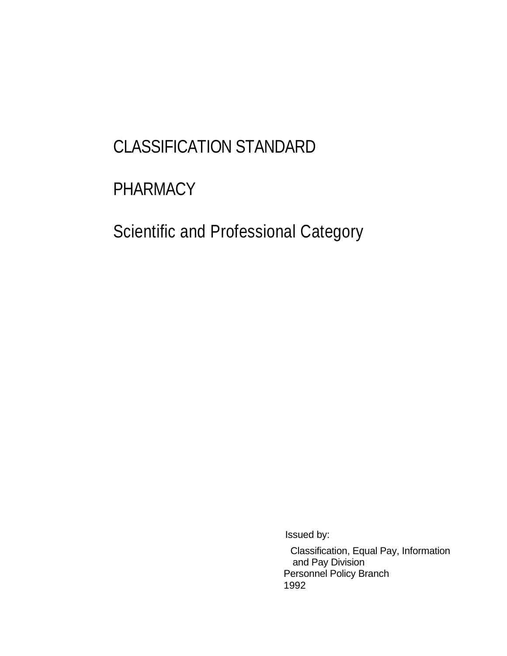# CLASSIFICATION STANDARD

# PHARMACY

Scientific and Professional Category

Issued by:

Classification, Equal Pay, Information and Pay Division Personnel Policy Branch 1992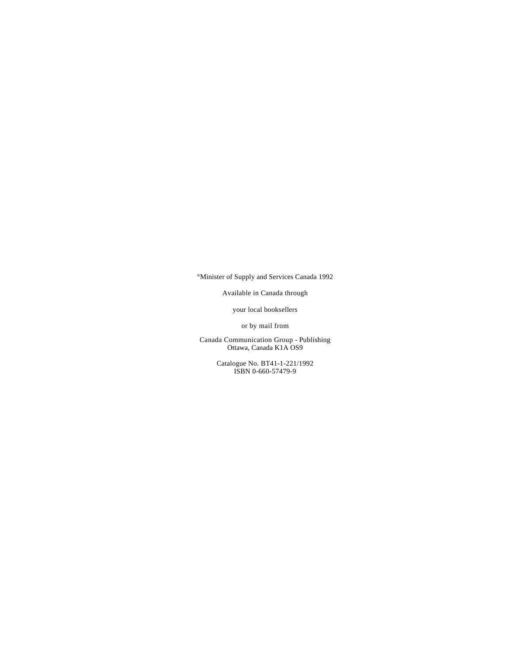°Minister of Supply and Services Canada 1992

Available in Canada through

your local booksellers

or by mail from

Canada Communication Group - Publishing Ottawa, Canada K1A OS9

> Catalogue No. BT41-1-221/1992 ISBN 0-660-57479-9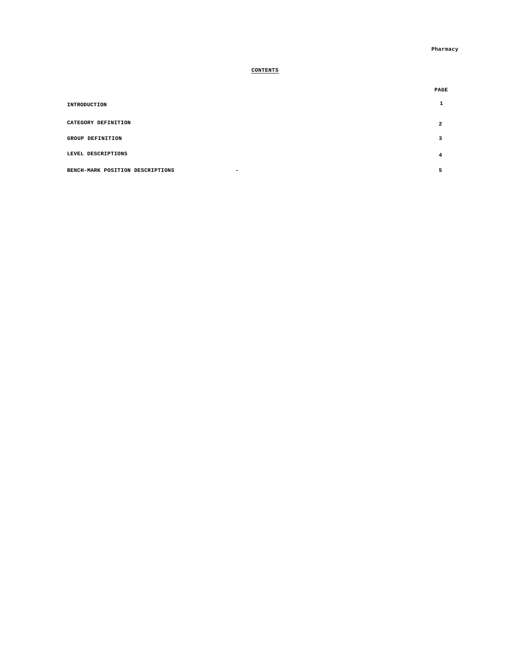# **CONTENTS**

|                                  | PAGE |
|----------------------------------|------|
| INTRODUCTION                     |      |
| CATEGORY DEFINITION              | 2    |
| GROUP DEFINITION                 | з    |
| LEVEL DESCRIPTIONS               | 4    |
| BENCH-MARK POSITION DESCRIPTIONS |      |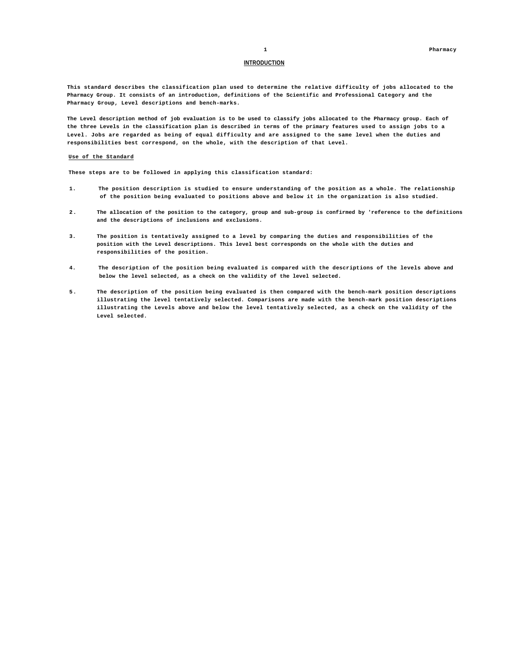### **INTRODUCTION**

**This standard describes the classification plan used to determine the relative difficulty of jobs allocated to the Pharmacy Group. It consists of an introduction, definitions of the Scientific and Professional Category and the Pharmacy Group, Level descriptions and bench-marks.** 

**The Level description method of job evaluation is to be used to classify jobs allocated to the Pharmacy group. Each of the three Levels in the classification plan is described in terms of the primary features used to assign jobs to a Level. Jobs are regarded as being of equal difficulty and are assigned to the same level when the duties and responsibilities best correspond, on the whole, with the description of that Level.** 

#### **Use of the Standard**

**These steps are to be followed in applying this classification standard:** 

- **1. The position description is studied to ensure understanding of the position as a whole. The relationship of the position being evaluated to positions above and below it in the organization is also studied.**
- **2 . The allocation of the position to the category, group and sub-group is confirmed by 'reference to the definitions and the descriptions of inclusions and exclusions.**
- **3. The position is tentatively assigned to a level by comparing the duties and responsibilities of the position with the Level descriptions. This level best corresponds on the whole with the duties and responsibilities of the position.**
- **4. The description of the position being evaluated is compared with the descriptions of the levels above and below the level selected, as a check on the validity of the level selected.**
- **5. The description of the position being evaluated is then compared with the bench-mark position descriptions illustrating the level tentatively selected. Comparisons are made with the bench-mark position descriptions illustrating the Levels above and below the level tentatively selected, as a check on the validity of the Level selected.**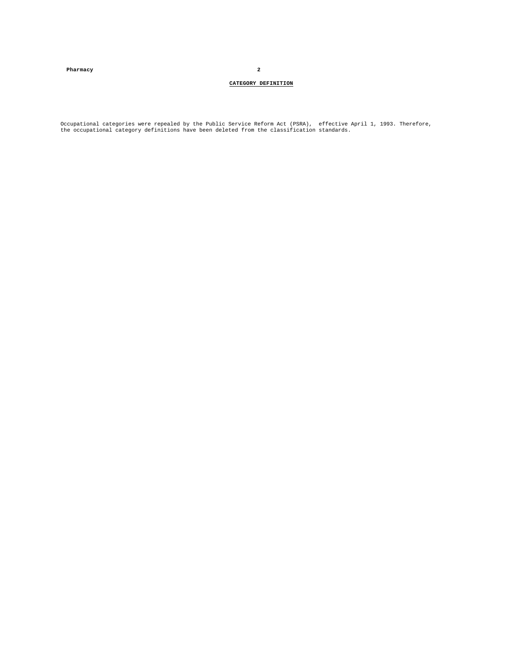**Pharmacy 2** 

### **CATEGORY DEFINITION**

Occupational categories were repealed by the Public Service Reform Act (PSRA), effective April 1, 1993. Therefore,<br>the occupational category definitions have been deleted from the classification standards.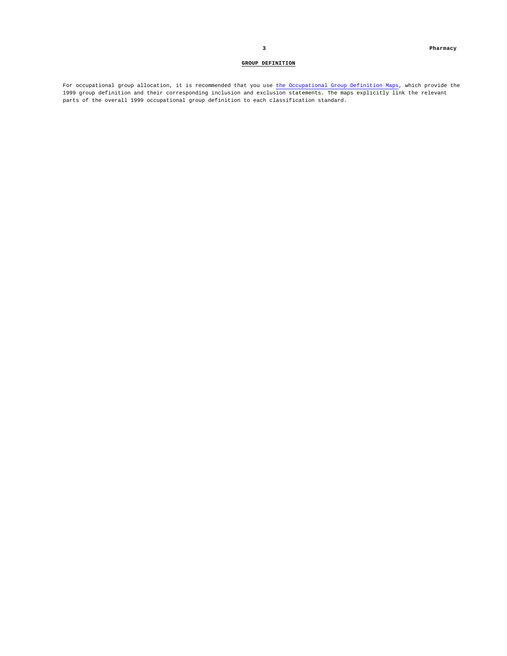### **GROUP DEFINITION**

For occupational group allocation, it is recommended that you use the Occupational Group Definition Maps, which provide the 1999 group definition and their corresponding inclusion and exclusion statements. The maps explicitly link the relevant parts of the overall 1999 occupational group definition to each classification standard.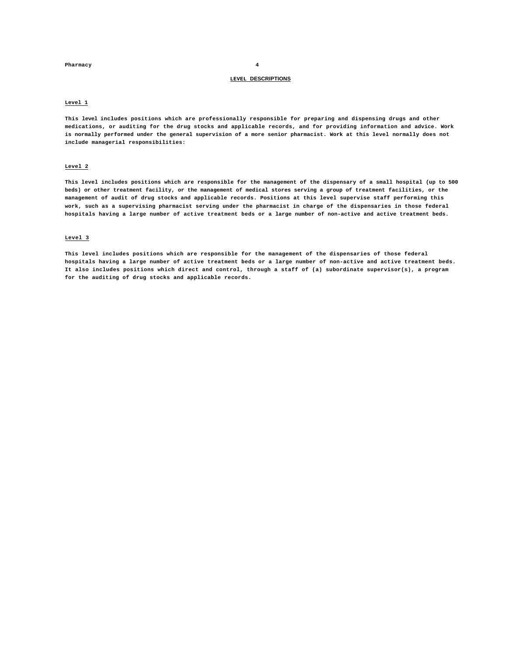### **Pharmacy 4**

# **LEVEL DESCRIPTIONS**

### **Level 1**

**This level includes positions which are professionally responsible for preparing and dispensing drugs and other medications, or auditing for the drug stocks and applicable records, and for providing information and advice. Work is normally performed under the general supervision of a more senior pharmacist. Work at this level normally does not include managerial responsibilities:** 

### **Level 2**

**This level includes positions which are responsible for the management of the dispensary of a small hospital (up to 500 beds) or other treatment facility, or the management of medical stores serving a group of treatment facilities, or the management of audit of drug stocks and applicable records. Positions at this level supervise staff performing this work, such as a supervising pharmacist serving under the pharmacist in charge of the dispensaries in those federal hospitals having a large number of active treatment beds or a large number of non-active and active treatment beds.** 

### **Level 3**

**This level includes positions which are responsible for the management of the dispensaries of those federal hospitals having a large number of active treatment beds or a large number of non-active and active treatment beds. It also includes positions which direct and control, through a staff of (a) subordinate supervisor(s), a program for the auditing of drug stocks and applicable records.**